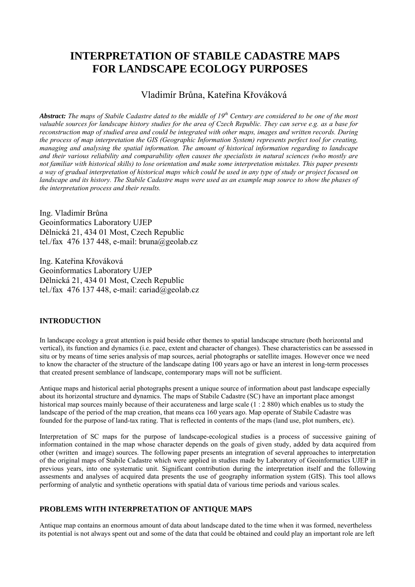# **INTERPRETATION OF STABILE CADASTRE MAPS FOR LANDSCAPE ECOLOGY PURPOSES**

# Vladimír Brůna, Kateřina Křováková

Abstract: The maps of Stabile Cadastre dated to the middle of 19<sup>th</sup> Century are considered to be one of the most *valuable sources for landscape history studies for the area of Czech Republic. They can serve e.g. as a base for reconstruction map of studied area and could be integrated with other maps, images and written records. During the process of map interpretation the GIS (Geographic Information System) represents perfect tool for creating, managing and analysing the spatial information. The amount of historical information regarding to landscape and their various reliability and comparability often causes the specialists in natural sciences (who mostly are not familiar with historical skills) to lose orientation and make some interpretation mistakes. This paper presents a way of gradual interpretation of historical maps which could be used in any type of study or project focused on landscape and its history. The Stabile Cadastre maps were used as an example map source to show the phases of the interpretation process and their results.*

Ing. Vladimír Brůna Geoinformatics Laboratory UJEP Dělnická 21, 434 01 Most, Czech Republic tel./fax 476 137 448, e-mail: bruna@geolab.cz

Ing. Kateřina Křováková Geoinformatics Laboratory UJEP Dělnická 21, 434 01 Most, Czech Republic tel./fax 476 137 448, e-mail: cariad@geolab.cz

## **INTRODUCTION**

In landscape ecology a great attention is paid beside other themes to spatial landscape structure (both horizontal and vertical), its function and dynamics (i.e. pace, extent and character of changes). These characteristics can be assessed in situ or by means of time series analysis of map sources, aerial photographs or satellite images. However once we need to know the character of the structure of the landscape dating 100 years ago or have an interest in long-term processes that created present semblance of landscape, contemporary maps will not be sufficient.

Antique maps and historical aerial photographs present a unique source of information about past landscape especially about its horizontal structure and dynamics. The maps of Stabile Cadastre (SC) have an important place amongst historical map sources mainly because of their accurateness and large scale (1 : 2 880) which enables us to study the landscape of the period of the map creation, that means cca 160 years ago. Map operate of Stabile Cadastre was founded for the purpose of land-tax rating. That is reflected in contents of the maps (land use, plot numbers, etc).

Interpretation of SC maps for the purpose of landscape-ecological studies is a process of successive gaining of information contained in the map whose character depends on the goals of given study, added by data acquired from other (written and image) sources. The following paper presents an integration of several approaches to interpretation of the original maps of Stabile Cadastre which were applied in studies made by Laboratory of Geoinformatics UJEP in previous years, into one systematic unit. Significant contribution during the interpretation itself and the following assesments and analyses of acquired data presents the use of geography information system (GIS). This tool allows performing of analytic and synthetic operations with spatial data of various time periods and various scales.

# **PROBLEMS WITH INTERPRETATION OF ANTIQUE MAPS**

Antique map contains an enormous amount of data about landscape dated to the time when it was formed, nevertheless its potential is not always spent out and some of the data that could be obtained and could play an important role are left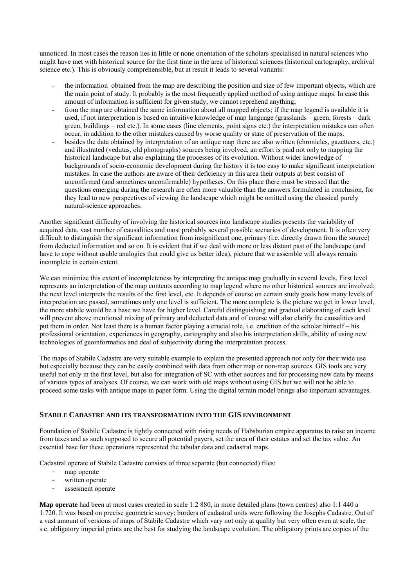unnoticed. In most cases the reason lies in little or none orientation of the scholars specialised in natural sciences who might have met with historical source for the first time in the area of historical sciences (historical cartography, archival science etc.). This is obviously comprehensible, but at result it leads to several variants:

- the information obtained from the map are describing the position and size of few important objects, which are the main point of study. It probably is the most frequently applied method of using antique maps. In case this amount of information is sufficient for given study, we cannot reprehend anything;
- from the map are obtained the same information about all mapped objects; if the map legend is available it is used, if not interpretation is based on intuitive knowledge of map language (grasslands – green, forests – dark green, buildings – red etc.). In some cases (line elements, point signs etc.) the interpretation mistakes can often occur, in addition to the other mistakes caused by worse quality or state of preservation of the maps.
- besides the data obtained by interpretation of an antique map there are also written (chronicles, gazetteers, etc.) and illustrated (vedutas, old photographs) sources being involved, an effort is paid not only to mapping the historical landscape but also explaining the processes of its evolution. Without wider knowledge of backgrounds of socio-economic development during the history it is too easy to make significant interpretation mistakes. In case the authors are aware of their deficiency in this area their outputs at best consist of unconfirmed (and sometimes unconfirmable) hypotheses. On this place there must be stressed that the questions emerging during the research are often more valuable than the answers formulated in conclusion, for they lead to new perspectives of viewing the landscape which might be omitted using the classical purely natural-science approaches.

Another significant difficulty of involving the historical sources into landscape studies presents the variability of acquired data, vast number of causalities and most probably several possible scenarios of development. It is often very difficult to distinguish the significant information from insignificant one, primary (i.e. directly drawn from the source) from deducted information and so on. It is evident that if we deal with more or less distant past of the landscape (and have to cope without usable analogies that could give us better idea), picture that we assemble will always remain incomplete in certain extent.

We can minimize this extent of incompleteness by interpreting the antique map gradually in several levels. First level represents an interpretation of the map contents according to map legend where no other historical sources are involved; the next level interprets the results of the first level, etc. It depends of course on certain study goals how many levels of interpretation are passed, sometimes only one level is sufficient. The more complete is the picture we get in lower level, the more stabile would be a base we have for higher level. Careful distinguishing and gradual elaborating of each level will prevent above mentioned mixing of primary and deducted data and of course will also clarify the causalities and put them in order. Not least there is a human factor playing a crucial role, i.e. erudition of the scholar himself – his professional orientation, experiences in geography, cartography and also his interpretation skills, ability of using new technologies of geoinformatics and deal of subjectivity during the interpretation process.

The maps of Stabile Cadastre are very suitable example to explain the presented approach not only for their wide use but especially because they can be easily combined with data from other map or non-map sources. GIS tools are very useful not only in the first level, but also for integration of SC with other sources and for processing new data by means of various types of analyses. Of course, we can work with old maps without using GIS but we will not be able to proceed some tasks with antique maps in paper form. Using the digital terrain model brings also important advantages.

## **STABILE CADASTRE AND ITS TRANSFORMATION INTO THE GIS ENVIRONMENT**

Foundation of Stabile Cadastre is tightly connected with rising needs of Habsburian empire apparatus to raise an income from taxes and as such supposed to secure all potential payers, set the area of their estates and set the tax value. An essential base for these operations represented the tabular data and cadastral maps.

Cadastral operate of Stabile Cadastre consists of three separate (but connected) files:

- map operate
- written operate
- assesment operate

**Map operate** had been at most cases created in scale 1:2 880, in more detailed plans (town centres) also 1:1 440 a 1:720. It was based on precise geometric survey; borders of cadastral units were following the Josephs Cadastre. Out of a vast amount of versions of maps of Stabile Cadastre which vary not only at quality but very often even at scale, the s.c. obligatory imperial prints are the best for studying the landscape evolution. The obligatory prints are copies of the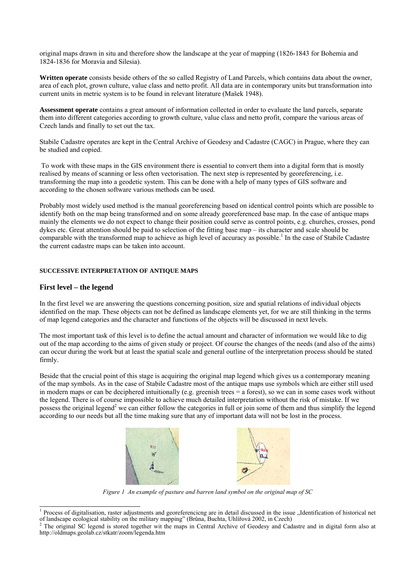original maps drawn in situ and therefore show the landscape at the year of mapping (1826-1843 for Bohemia and 1824-1836 for Moravia and Silesia).

**Written operate** consists beside others of the so called Registry of Land Parcels, which contains data about the owner, area of each plot, grown culture, value class and netto profit. All data are in contemporary units but transformation into current units in metric system is to be found in relevant literature (Mašek 1948).

**Assessment operate** contains a great amount of information collected in order to evaluate the land parcels, separate them into different categories according to growth culture, value class and netto profit, compare the various areas of Czech lands and finally to set out the tax.

Stabile Cadastre operates are kept in the Central Archive of Geodesy and Cadastre (CAGC) in Prague, where they can be studied and copied.

To work with these maps in the GIS environment there is essential to convert them into a digital form that is mostly realised by means of scanning or less often vectorisation. The next step is represented by georeferencing, i.e. transforming the map into a geodetic system. This can be done with a help of many types of GIS software and according to the chosen software various methods can be used.

Probably most widely used method is the manual georeferencing based on identical control points which are possible to identify both on the map being transformed and on some already georeferenced base map. In the case of antique maps mainly the elements we do not expect to change their position could serve as control points, e.g. churches, crosses, pond dykes etc. Great attention should be paid to selection of the fitting base map – its character and scale should be comparable with the transformed map to achieve as high level of accuracy as possible.<sup>1</sup> In the case of Stabile Cadastre the current cadastre maps can be taken into account.

#### **SUCCESSIVE INTERPRETATION OF ANTIQUE MAPS**

#### **First level – the legend**

In the first level we are answering the questions concerning position, size and spatial relations of individual objects identified on the map. These objects can not be defined as landscape elements yet, for we are still thinking in the terms of map legend categories and the character and functions of the objects will be discussed in next levels.

The most important task of this level is to define the actual amount and character of information we would like to dig out of the map according to the aims of given study or project. Of course the changes of the needs (and also of the aims) can occur during the work but at least the spatial scale and general outline of the interpretation process should be stated firmly.

Beside that the crucial point of this stage is acquiring the original map legend which gives us a contemporary meaning of the map symbols. As in the case of Stabile Cadastre most of the antique maps use symbols which are either still used in modern maps or can be deciphered intuitionally (e.g. greenish trees = a forest), so we can in some cases work without the legend. There is of course impossible to achieve much detailed interpretation without the risk of mistake. If we possess the original legend<sup>2</sup> we can either follow the categories in full or join some of them and thus simplify the legend according to our needs but all the time making sure that any of important data will not be lost in the process.



*Figure 1 An example of pasture and barren land symbol on the original map of SC* 

 $\frac{1}{1}$ Process of digitalisation, raster adjustments and georeferencicng are in detail discussed in the issue "Identification of historical net of landscape ecological stability on the military mapping" (Brůna, Buchta, Uhlířová 2002, in Czech) 2

 $2$  The original SC legend is stored together wit the maps in Central Archive of Geodesy and Cadastre and in digital form also at http://oldmaps.geolab.cz/stkatr/zoom/legenda.htm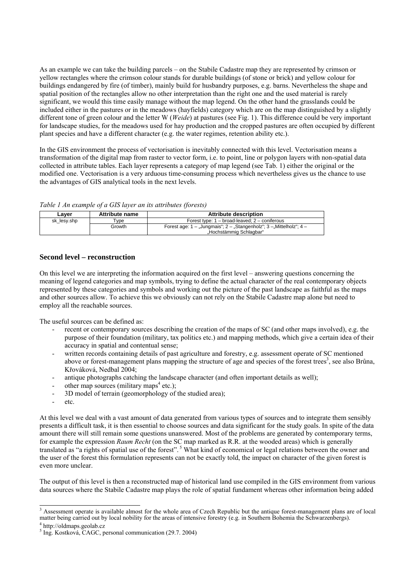As an example we can take the building parcels – on the Stabile Cadastre map they are represented by crimson or yellow rectangles where the crimson colour stands for durable buildings (of stone or brick) and yellow colour for buildings endangered by fire (of timber), mainly build for husbandry purposes, e.g. barns. Nevertheless the shape and spatial position of the rectangles allow no other interpretation than the right one and the used material is rarely significant, we would this time easily manage without the map legend. On the other hand the grasslands could be included either in the pastures or in the meadows (hayfields) category which are on the map distinguished by a slightly different tone of green colour and the letter W (*Weide*) at pastures (see Fig. 1). This difference could be very important for landscape studies, for the meadows used for hay production and the cropped pastures are often occupied by different plant species and have a different character (e.g. the water regimes, retention ability etc.).

In the GIS environment the process of vectorisation is inevitably connected with this level. Vectorisation means a transformation of the digital map from raster to vector form, i.e. to point, line or polygon layers with non-spatial data collected in attribute tables. Each layer represents a category of map legend (see Tab. 1) either the original or the modified one. Vectorisation is a very arduous time-consuming process which nevertheless gives us the chance to use the advantages of GIS analytical tools in the next levels.

*Table 1 An example of a GIS layer an its attributes (forests)* 

| Laver       | Attribute name | Attribute description                                                        |
|-------------|----------------|------------------------------------------------------------------------------|
| sk lesy.shp | Tvpe           | Forest type: $1 - broad$ -leaved: $2 - conifervals$                          |
|             | Growth         | Forest age: $1 - $ Jungmais"; $2 - $ Stangenholz"; $3 - $ Mittelholz"; $4 -$ |
|             |                | "Hochstämmig Schlagbar"                                                      |

## **Second level – reconstruction**

On this level we are interpreting the information acquired on the first level – answering questions concerning the meaning of legend categories and map symbols, trying to define the actual character of the real contemporary objects represented by these categories and symbols and working out the picture of the past landscape as faithful as the maps and other sources allow. To achieve this we obviously can not rely on the Stabile Cadastre map alone but need to employ all the reachable sources.

The useful sources can be defined as:

- recent or contemporary sources describing the creation of the maps of SC (and other maps involved), e.g. the purpose of their foundation (military, tax politics etc.) and mapping methods, which give a certain idea of their accuracy in spatial and contentual sense;
- written records containing details of past agriculture and forestry, e.g. assessment operate of SC mentioned above or forest-management plans mapping the structure of age and species of the forest trees<sup>3</sup>, see also Brůna, Křováková, Nedbal 2004;
- antique photographs catching the landscape character (and often important details as well);
- other map sources (military maps<sup>4</sup> etc.);
- 3D model of terrain (geomorphology of the studied area);
- etc.

At this level we deal with a vast amount of data generated from various types of sources and to integrate them sensibly presents a difficult task, it is then essential to choose sources and data significant for the study goals. In spite of the data amount there will still remain some questions unanswered. Most of the problems are generated by contemporary terms, for example the expression *Raum Recht* (on the SC map marked as R.R. at the wooded areas) which is generally translated as "a rights of spatial use of the forest". 5 What kind of economical or legal relations between the owner and the user of the forest this formulation represents can not be exactly told, the impact on character of the given forest is even more unclear.

The output of this level is then a reconstructed map of historical land use compiled in the GIS environment from various data sources where the Stabile Cadastre map plays the role of spatial fundament whereas other information being added

<sup>&</sup>lt;sup>3</sup> Assessment operate is available almost for the whole area of Czech Republic but the antique forest-management plans are of local matter being carried out by local nobility for the areas of intensive forestry (e.g. in Southern Bohemia the Schwarzenbergs). 4

http://oldmaps.geolab.cz

 $<sup>5</sup>$  Ing. Kostková, CAGC, personal communication (29.7. 2004)</sup>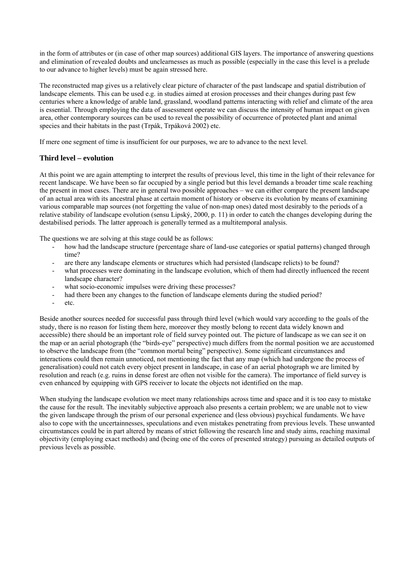in the form of attributes or (in case of other map sources) additional GIS layers. The importance of answering questions and elimination of revealed doubts and unclearnesses as much as possible (especially in the case this level is a prelude to our advance to higher levels) must be again stressed here.

The reconstructed map gives us a relatively clear picture of character of the past landscape and spatial distribution of landscape elements. This can be used e.g. in studies aimed at erosion processes and their changes during past few centuries where a knowledge of arable land, grassland, woodland patterns interacting with relief and climate of the area is essential. Through employing the data of assessment operate we can discuss the intensity of human impact on given area, other contemporary sources can be used to reveal the possibility of occurrence of protected plant and animal species and their habitats in the past (Trpák, Trpáková 2002) etc.

If mere one segment of time is insufficient for our purposes, we are to advance to the next level.

## **Third level – evolution**

At this point we are again attempting to interpret the results of previous level, this time in the light of their relevance for recent landscape. We have been so far occupied by a single period but this level demands a broader time scale reaching the present in most cases. There are in general two possible approaches – we can either compare the present landscape of an actual area with its ancestral phase at certain moment of history or observe its evolution by means of examining various comparable map sources (not forgetting the value of non-map ones) dated most desirably to the periods of a relative stability of landscape evolution (sensu Lipský, 2000, p. 11) in order to catch the changes developing during the destabilised periods. The latter approach is generally termed as a multitemporal analysis.

The questions we are solving at this stage could be as follows:

- how had the landscape structure (percentage share of land-use categories or spatial patterns) changed through time?
- are there any landscape elements or structures which had persisted (landscape relicts) to be found?
- what processes were dominating in the landscape evolution, which of them had directly influenced the recent landscape character?
- what socio-economic impulses were driving these processes?
- had there been any changes to the function of landscape elements during the studied period?
- etc.

Beside another sources needed for successful pass through third level (which would vary according to the goals of the study, there is no reason for listing them here, moreover they mostly belong to recent data widely known and accessible) there should be an important role of field survey pointed out. The picture of landscape as we can see it on the map or an aerial photograph (the "birds-eye" perspective) much differs from the normal position we are accustomed to observe the landscape from (the "common mortal being" perspective). Some significant circumstances and interactions could then remain unnoticed, not mentioning the fact that any map (which had undergone the process of generalisation) could not catch every object present in landscape, in case of an aerial photograph we are limited by resolution and reach (e.g. ruins in dense forest are often not visible for the camera). The importance of field survey is even enhanced by equipping with GPS receiver to locate the objects not identified on the map.

When studying the landscape evolution we meet many relationships across time and space and it is too easy to mistake the cause for the result. The inevitably subjective approach also presents a certain problem; we are unable not to view the given landscape through the prism of our personal experience and (less obvious) psychical fundaments. We have also to cope with the uncertainnesses, speculations and even mistakes penetrating from previous levels. These unwanted circumstances could be in part altered by means of strict following the research line and study aims, reaching maximal objectivity (employing exact methods) and (being one of the cores of presented strategy) pursuing as detailed outputs of previous levels as possible.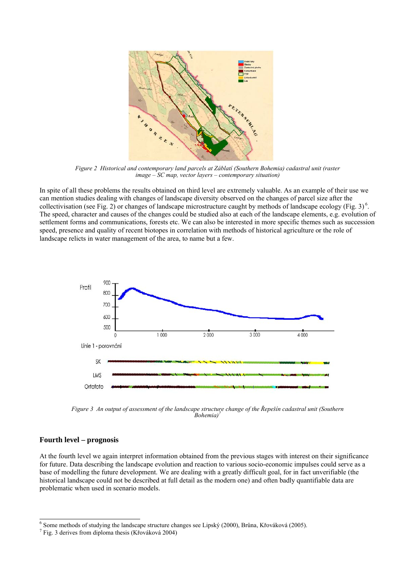

*Figure 2 Historical and contemporary land parcels at Záblatí (Southern Bohemia) cadastral unit (raster image – SC map, vector layers – contemporary situation)*

In spite of all these problems the results obtained on third level are extremely valuable. As an example of their use we can mention studies dealing with changes of landscape diversity observed on the changes of parcel size after the collectivisation (see Fig. 2) or changes of landscape microstructure caught by methods of landscape ecology (Fig. 3)<sup>6</sup>. The speed, character and causes of the changes could be studied also at each of the landscape elements, e.g. evolution of settlement forms and communications, forests etc. We can also be interested in more specific themes such as succession speed, presence and quality of recent biotopes in correlation with methods of historical agriculture or the role of landscape relicts in water management of the area, to name but a few.



*Figure 3 An output of assessment of the landscape structure change of the Řepešín cadastral unit (Southern Bohemia)<sup><sup>2</sup>*</sup>

## **Fourth level – prognosis**

At the fourth level we again interpret information obtained from the previous stages with interest on their significance for future. Data describing the landscape evolution and reaction to various socio-economic impulses could serve as a base of modelling the future development. We are dealing with a greatly difficult goal, for in fact unverifiable (the historical landscape could not be described at full detail as the modern one) and often badly quantifiable data are problematic when used in scenario models.

 <sup>6</sup> <sup>6</sup> Some methods of studying the landscape structure changes see Lipský (2000), Brůna, Křováková (2005). <sup>7</sup> Fig. 2 dariuse from diploma thosis (*V* řováková 2004).

 $\frac{7}{1}$  Fig. 3 derives from diploma thesis (Křováková 2004)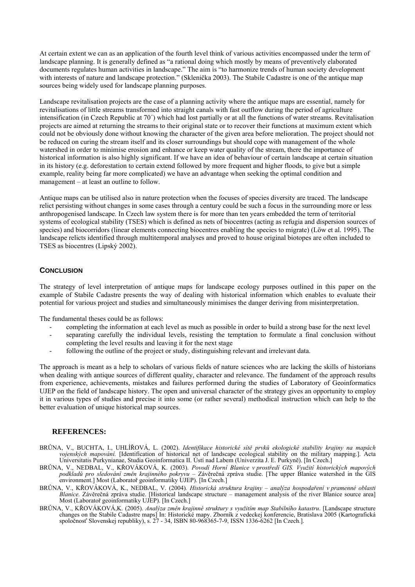At certain extent we can as an application of the fourth level think of various activities encompassed under the term of landscape planning. It is generally defined as "a rational doing which mostly by means of preventively elaborated documents regulates human activities in landscape." The aim is "to harmonize trends of human society development with interests of nature and landscape protection." (Sklenička 2003). The Stabile Cadastre is one of the antique map sources being widely used for landscape planning purposes.

Landscape revitalisation projects are the case of a planning activity where the antique maps are essential, namely for revitalisations of little streams transformed into straight canals with fast outflow during the period of agriculture intensification (in Czech Republic at 70´) which had lost partially or at all the functions of water streams. Revitalisation projects are aimed at returning the streams to their original state or to recover their functions at maximum extent which could not be obviously done without knowing the character of the given area before melioration. The project should not be reduced on curing the stream itself and its closer surroundings but should cope with management of the whole watershed in order to minimise erosion and enhance or keep water quality of the stream, there the importance of historical information is also highly significant. If we have an idea of behaviour of certain landscape at certain situation in its history (e.g. deforestation to certain extend followed by more frequent and higher floods, to give but a simple example, reality being far more complicated) we have an advantage when seeking the optimal condition and management – at least an outline to follow.

Antique maps can be utilised also in nature protection when the focuses of species diversity are traced. The landscape relict persisting without changes in some cases through a century could be such a focus in the surrounding more or less anthropogenised landscape. In Czech law system there is for more than ten years embedded the term of territorial systems of ecological stability (TSES) which is defined as nets of biocentres (acting as refugia and dispersion sources of species) and biocorridors (linear elements connecting biocentres enabling the species to migrate) (Löw et al. 1995). The landscape relicts identified through multitemporal analyses and proved to house original biotopes are often included to TSES as biocentres (Lipský 2002).

## **CONCLUSION**

The strategy of level interpretation of antique maps for landscape ecology purposes outlined in this paper on the example of Stabile Cadastre presents the way of dealing with historical information which enables to evaluate their potential for various project and studies and simultaneously minimises the danger deriving from misinterpretation.

The fundamental theses could be as follows:

- completing the information at each level as much as possible in order to build a strong base for the next level
- separating carefully the individual levels, resisting the temptation to formulate a final conclusion without completing the level results and leaving it for the next stage
- following the outline of the project or study, distinguishing relevant and irrelevant data.

The approach is meant as a help to scholars of various fields of nature sciences who are lacking the skills of historians when dealing with antique sources of different quality, character and relevance. The fundament of the approach results from experience, achievements, mistakes and failures performed during the studies of Laboratory of Geoinformatics UJEP on the field of landscape history. The open and universal character of the strategy gives an opportunity to employ it in various types of studies and precise it into some (or rather several) methodical instruction which can help to the better evaluation of unique historical map sources.

#### **REFERENCES:**

- BRŮNA, V., BUCHTA, I., UHLÍŘOVÁ, L. (2002). *Identifikace historické sítě prvků ekologické stability krajiny na mapách vojenských mapování.* [Identification of historical net of landscape ecological stability on the military mapping.]. Acta Universitatis Purkynianae, Studia Geoinformatica II. Ústí nad Labem (Univerzita J. E. Purkyně). [In Czech.]
- BRŮNA, V., NEDBAL, V., KŘOVÁKOVÁ, K. (2003). *Povodí Horní Blanice v prostředí GIS. Využití historických mapových podkladů pro sledování změn krajinného pokryvu* – Závěrečná zpráva studie. [The upper Blanice watershed in the GIS environment.] Most (Laboratoř geoinformatiky UJEP). [In Czech.]
- BRŮNA, V., KŘOVÁKOVÁ, K., NEDBAL, V. (2004)*. Historická struktura krajiny analýza hospodaření v pramenné oblasti Blanice.* Závěrečná zpráva studie. [Historical landscape structure – management analysis of the river Blanice source area] Most (Laboratoř geoinformatiky UJEP). [In Czech.]
- BRŮNA, V., KŘOVÁKOVÁ,K. (2005). *Analýza změn krajinné struktury s využitím map Stabilního katastru*. [Landscape structure changes on the Stabile Cadastre maps] In: Historické mapy. Zborník z vedeckej konferencie, Bratislava 2005 (Kartografická spoločnosť Slovenskej republiky), s. 27 - 34, ISBN 80-968365-7-9, ISSN 1336-6262 [In Czech.].